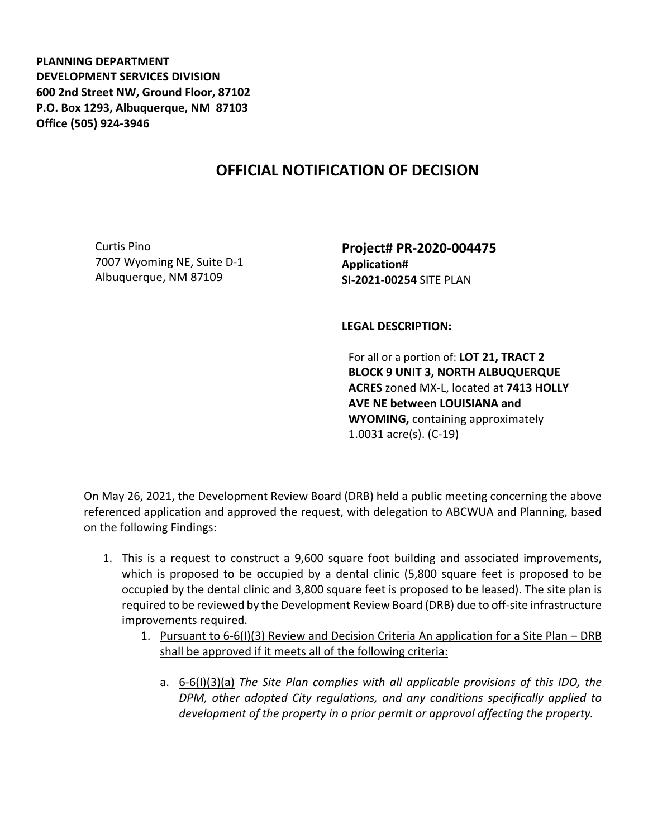**PLANNING DEPARTMENT DEVELOPMENT SERVICES DIVISION 600 2nd Street NW, Ground Floor, 87102 P.O. Box 1293, Albuquerque, NM 87103 Office (505) 924-3946** 

## **OFFICIAL NOTIFICATION OF DECISION**

Curtis Pino 7007 Wyoming NE, Suite D-1 Albuquerque, NM 87109

**Project# PR-2020-004475 Application# SI-2021-00254** SITE PLAN

**LEGAL DESCRIPTION:**

For all or a portion of: **LOT 21, TRACT 2 BLOCK 9 UNIT 3, NORTH ALBUQUERQUE ACRES** zoned MX-L, located at **7413 HOLLY AVE NE between LOUISIANA and WYOMING,** containing approximately 1.0031 acre(s). (C-19)

On May 26, 2021, the Development Review Board (DRB) held a public meeting concerning the above referenced application and approved the request, with delegation to ABCWUA and Planning, based on the following Findings:

- 1. This is a request to construct a 9,600 square foot building and associated improvements, which is proposed to be occupied by a dental clinic (5,800 square feet is proposed to be occupied by the dental clinic and 3,800 square feet is proposed to be leased). The site plan is required to be reviewed by the Development Review Board (DRB) due to off-site infrastructure improvements required.
	- 1. Pursuant to 6-6(I)(3) Review and Decision Criteria An application for a Site Plan DRB shall be approved if it meets all of the following criteria:
		- a. 6-6(I)(3)(a) *The Site Plan complies with all applicable provisions of this IDO, the DPM, other adopted City regulations, and any conditions specifically applied to development of the property in a prior permit or approval affecting the property.*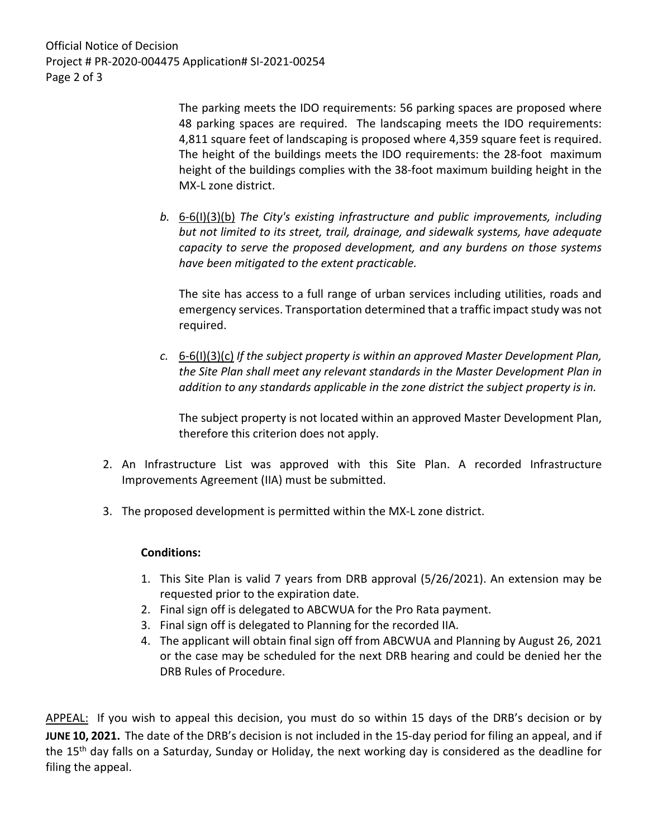Official Notice of Decision Project # PR-2020-004475 Application# SI-2021-00254 Page 2 of 3

> The parking meets the IDO requirements: 56 parking spaces are proposed where 48 parking spaces are required. The landscaping meets the IDO requirements: 4,811 square feet of landscaping is proposed where 4,359 square feet is required. The height of the buildings meets the IDO requirements: the 28-foot maximum height of the buildings complies with the 38-foot maximum building height in the MX-L zone district.

*b.* 6-6(I)(3)(b) *The City's existing infrastructure and public improvements, including but not limited to its street, trail, drainage, and sidewalk systems, have adequate capacity to serve the proposed development, and any burdens on those systems have been mitigated to the extent practicable.* 

The site has access to a full range of urban services including utilities, roads and emergency services. Transportation determined that a traffic impact study was not required.

*c.* 6-6(I)(3)(c) *If the subject property is within an approved Master Development Plan, the Site Plan shall meet any relevant standards in the Master Development Plan in addition to any standards applicable in the zone district the subject property is in.*

The subject property is not located within an approved Master Development Plan, therefore this criterion does not apply.

- 2. An Infrastructure List was approved with this Site Plan. A recorded Infrastructure Improvements Agreement (IIA) must be submitted.
- 3. The proposed development is permitted within the MX-L zone district.

## **Conditions:**

- 1. This Site Plan is valid 7 years from DRB approval (5/26/2021). An extension may be requested prior to the expiration date.
- 2. Final sign off is delegated to ABCWUA for the Pro Rata payment.
- 3. Final sign off is delegated to Planning for the recorded IIA.
- 4. The applicant will obtain final sign off from ABCWUA and Planning by August 26, 2021 or the case may be scheduled for the next DRB hearing and could be denied her the DRB Rules of Procedure.

APPEAL: If you wish to appeal this decision, you must do so within 15 days of the DRB's decision or by **JUNE 10, 2021.** The date of the DRB's decision is not included in the 15-day period for filing an appeal, and if the 15<sup>th</sup> day falls on a Saturday, Sunday or Holiday, the next working day is considered as the deadline for filing the appeal.